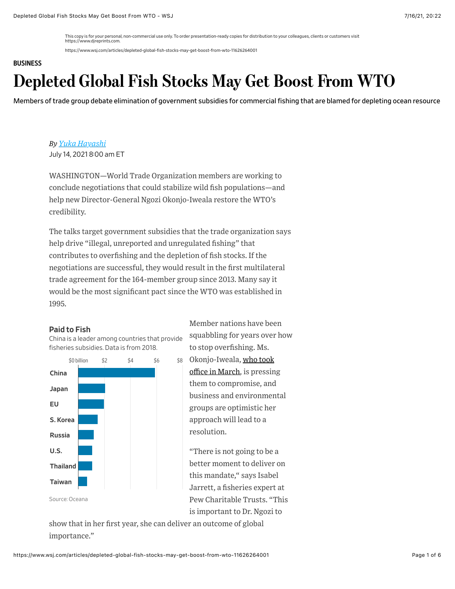This copy is for your personal, non-commercial use only. To order presentation-ready copies for distribution to your colleagues, clients or customers visit https://www.djreprints.com.

https://www.wsj.com/articles/depleted-global-fish-stocks-may-get-boost-from-wto-11626264001

### **[BUSINESS](https://www.wsj.com/news/types/business?mod=bigtop-breadcrumb)**

# Depleted Global Fish Stocks May Get Boost From WTO

Members of trade group debate elimination of government subsidies for commercial fishing that are blamed for depleting ocean resource

*By Yuka Hayashi* July 14, 2021 8:00 am ET

WASHINGTON—World Trade Organization members are working to conclude negotiations that could stabilize wild fish populations—and help new Director-General Ngozi Okonjo-Iweala restore the WTO's credibility.

The talks target government subsidies that the trade organization says help drive "illegal, unreported and unregulated fishing" that contributes to overfishing and the depletion of fish stocks. If the negotiations are successful, they would result in the first multilateral trade agreement for the 164-member group since 2013. Many say it would be the most significant pact since the WTO was established in 1995.

### Paid to Fish

China is a leader among countries that provide fisheries subsidies. Data is from 2018.



Member nations have been squabbling for years over how to stop overfishing. Ms. \$8 [Okonjo-Iweala, who took](https://www.wsj.com/articles/wto-appoints-nigerias-ngozi-okonjo-iweala-as-first-female-leader-11613399825?page=1&mod=article_inline) office in March, is pressing them to compromise, and business and environmental groups are optimistic her approach will lead to a resolution.

> "There is not going to be a better moment to deliver on this mandate," says Isabel Jarrett, a fisheries expert at Pew Charitable Trusts. "This is important to Dr. Ngozi to

show that in her first year, she can deliver an outcome of global importance."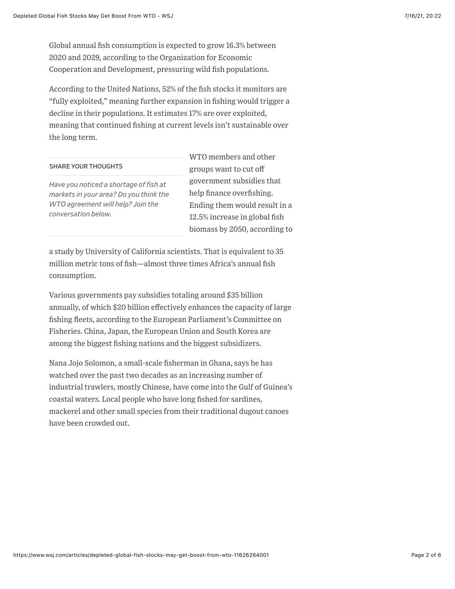Global annual fish consumption is expected to grow 16.3% between 2020 and 2029, according to the Organization for Economic Cooperation and Development, pressuring wild fish populations.

According to the United Nations, 52% of the fish stocks it monitors are "fully exploited," meaning further expansion in fishing would trigger a decline in their populations. It estimates 17% are over exploited, meaning that continued fishing at current levels isn't sustainable over the long term.

### SHARE YOUR THOUGHTS

*Have you noticed a shortage of fish at markets in your area? Do you think the WTO agreement will help? Join the conversation below.*

WTO members and other groups want to cut off government subsidies that help finance overfishing. Ending them would result in a 12.5% increase in global fish biomass by 2050, according to

a study by University of California scientists. That is equivalent to 35 million metric tons of fish—almost three times Africa's annual fish consumption.

Various governments pay subsidies totaling around \$35 billion annually, of which \$20 billion effectively enhances the capacity of large fishing fleets, according to the European Parliament's Committee on Fisheries. China, Japan, the European Union and South Korea are among the biggest fishing nations and the biggest subsidizers.

Nana Jojo Solomon, a small-scale fisherman in Ghana, says he has watched over the past two decades as an increasing number of industrial trawlers, mostly Chinese, have come into the Gulf of Guinea's coastal waters. Local people who have long fished for sardines, mackerel and other small species from their traditional dugout canoes have been crowded out.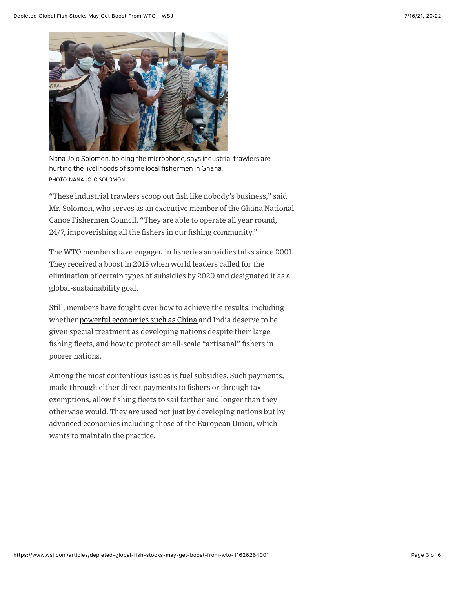

Nana Jojo Solomon, holding the microphone, says industrial trawlers are hurting the livelihoods of some local fishermen in Ghana. PHOTO: NANA JOJO SOLOMON

"These industrial trawlers scoop out fish like nobody's business," said Mr. Solomon, who serves as an executive member of the Ghana National Canoe Fishermen Council. "They are able to operate all year round, 24/7, impoverishing all the fishers in our fishing community."

The WTO members have engaged in fisheries subsidies talks since 2001. They received a boost in 2015 when world leaders called for the elimination of certain types of subsidies by 2020 and designated it as a global-sustainability goal.

Still, members have fought over how to achieve the results, including whether [powerful economies such as China](https://www.wsj.com/articles/chinas-fishing-fleet-the-worlds-largest-drives-beijings-global-ambitions-11619015507?mod=article_inline) and India deserve to be given special treatment as developing nations despite their large fishing fleets, and how to protect small-scale "artisanal" fishers in poorer nations.

Among the most contentious issues is fuel subsidies. Such payments, made through either direct payments to fishers or through tax exemptions, allow fishing fleets to sail farther and longer than they otherwise would. They are used not just by developing nations but by advanced economies including those of the European Union, which wants to maintain the practice.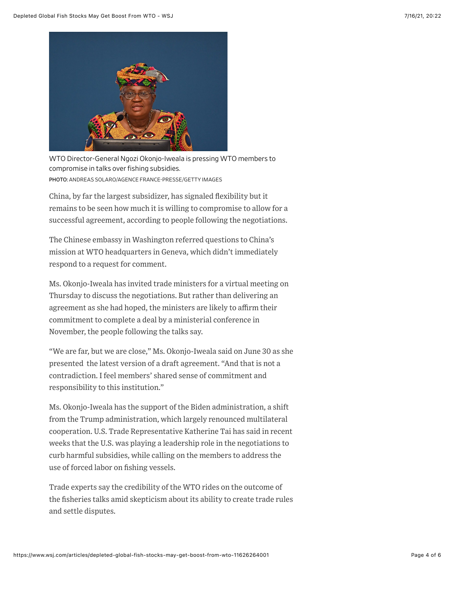

WTO Director-General Ngozi Okonjo-Iweala is pressing WTO members to compromise in talks over fishing subsidies. PHOTO: ANDREAS SOLARO/AGENCE FRANCE-PRESSE/GETTY IMAGES

China, by far the largest subsidizer, has signaled flexibility but it remains to be seen how much it is willing to compromise to allow for a successful agreement, according to people following the negotiations.

The Chinese embassy in Washington referred questions to China's mission at WTO headquarters in Geneva, which didn't immediately respond to a request for comment.

Ms. Okonjo-Iweala has invited trade ministers for a virtual meeting on Thursday to discuss the negotiations. But rather than delivering an agreement as she had hoped, the ministers are likely to affirm their commitment to complete a deal by a ministerial conference in November, the people following the talks say.

"We are far, but we are close," Ms. Okonjo-Iweala said on June 30 as she presented the latest version of a draft agreement. "And that is not a contradiction. I feel members' shared sense of commitment and responsibility to this institution."

Ms. Okonjo-Iweala has the support of the Biden administration, a shift from the Trump administration, which largely renounced multilateral cooperation. U.S. Trade Representative Katherine Tai has said in recent weeks that the U.S. was playing a leadership role in the negotiations to curb harmful subsidies, while calling on the members to address the use of forced labor on fishing vessels.

Trade experts say the credibility of the WTO rides on the outcome of the fisheries talks amid skepticism about its ability to create trade rules and settle disputes.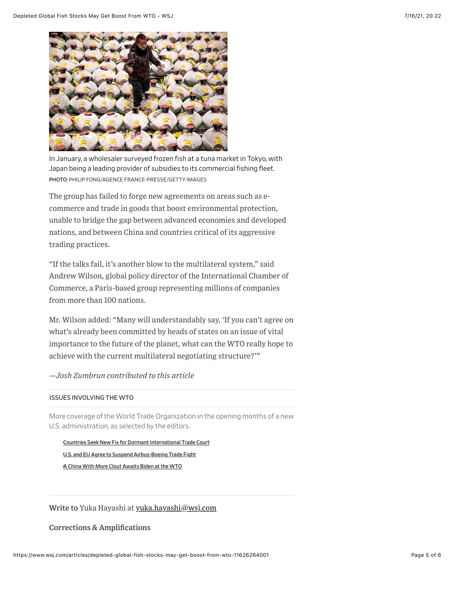

In January, a wholesaler surveyed frozen fish at a tuna market in Tokyo, with Japan being a leading provider of subsidies to its commercial fishing fleet. PHOTO: PHILIP FONG/AGENCE FRANCE-PRESSE/GETTY IMAGES

The group has failed to forge new agreements on areas such as ecommerce and trade in goods that boost environmental protection, unable to bridge the gap between advanced economies and developed nations, and between China and countries critical of its aggressive trading practices.

"If the talks fail, it's another blow to the multilateral system," said Andrew Wilson, global policy director of the International Chamber of Commerce, a Paris-based group representing millions of companies from more than 100 nations.

Mr. Wilson added: "Many will understandably say, 'If you can't agree on what's already been committed by heads of states on an issue of vital importance to the future of the planet, what can the WTO really hope to achieve with the current multilateral negotiating structure?'"

### *—Josh Zumbrun contributed to this article*

#### ISSUES INVOLVING THE WTO

More coverage of the World Trade Organization in the opening months of a new U.S. administration, as selected by the editors.

[•Countries Seek New Fix for Dormant International Trade Court](https://www.wsj.com/articles/countries-seek-new-fix-for-dormant-international-trade-court-11614189115?mod=article_relatedinline) [•U.S. and EU Agree to Suspend Airbus-Boeing Trade Fight](https://www.wsj.com/articles/u-s-and-eu-near-deal-on-boeing-airbus-trade-fight-11623747870?mod=article_relatedinline) [•A China With More Clout Awaits Biden at the WTO](https://www.wsj.com/articles/a-china-with-more-clout-awaits-biden-at-the-wto-11611576003?mod=article_relatedinline)

## Write to Yuka Hayashi at [yuka.hayashi@wsj.com](mailto:yuka.hayashi@wsj.com)

Corrections & Amplifications